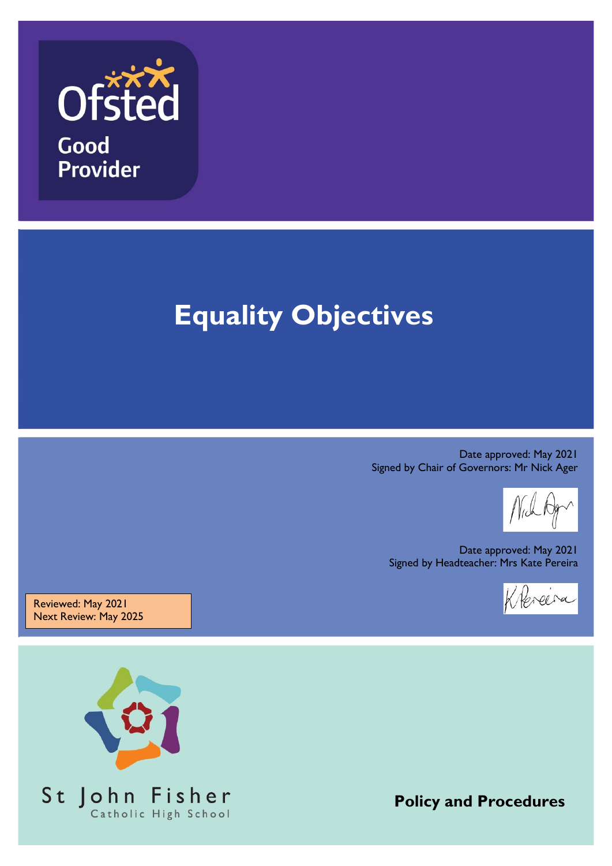

# **Equality Objectives**

Date approved: May 2021 Signed by Chair of Governors: Mr Nick Ager

Date approved: May 2021 Signed by Headteacher: Mrs Kate Pereira



Reviewed: May 2021 Next Review: May 2025



**Policy and Procedures**